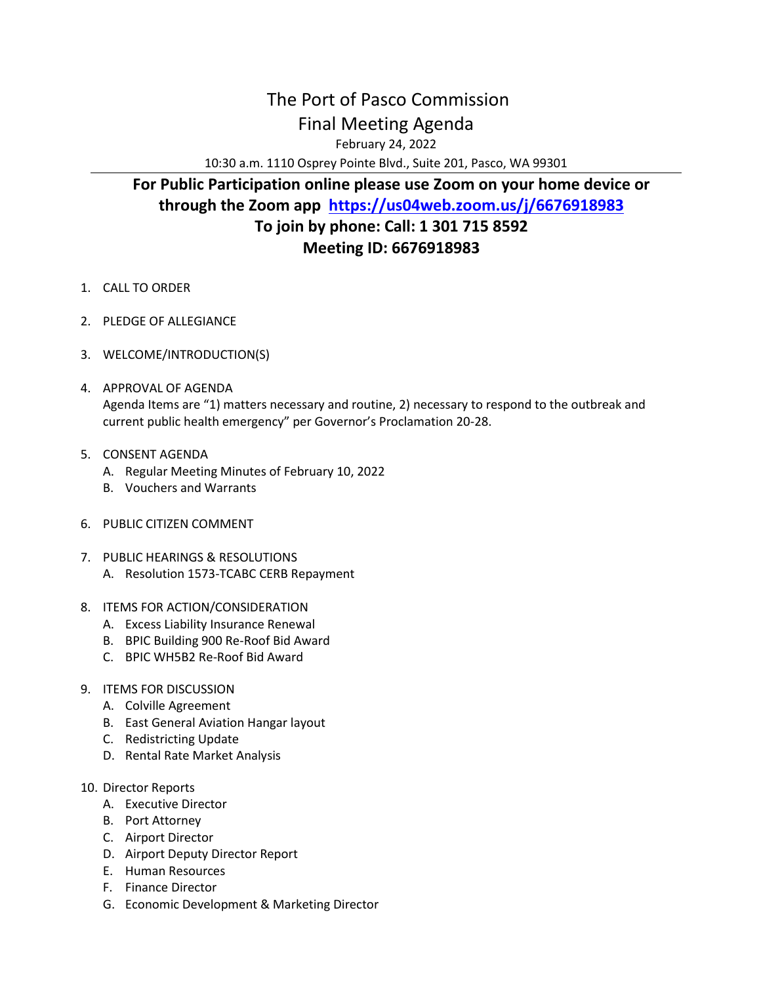## The Port of Pasco Commission Final Meeting Agenda

February 24, 2022

10:30 a.m. 1110 Osprey Pointe Blvd., Suite 201, Pasco, WA 99301

## **For Public Participation online please use Zoom on your home device or through the Zoom app <https://us04web.zoom.us/j/6676918983> To join by phone: Call: 1 301 715 8592 Meeting ID: 6676918983**

- 1. CALL TO ORDER
- 2. PLEDGE OF ALLEGIANCE
- 3. WELCOME/INTRODUCTION(S)
- 4. APPROVAL OF AGENDA Agenda Items are "1) matters necessary and routine, 2) necessary to respond to the outbreak and current public health emergency" per Governor's Proclamation 20-28.
- 5. CONSENT AGENDA
	- A. Regular Meeting Minutes of February 10, 2022
	- B. Vouchers and Warrants
- 6. PUBLIC CITIZEN COMMENT
- 7. PUBLIC HEARINGS & RESOLUTIONS A. Resolution 1573-TCABC CERB Repayment
- 8. ITEMS FOR ACTION/CONSIDERATION
	- A. Excess Liability Insurance Renewal
	- B. BPIC Building 900 Re-Roof Bid Award
	- C. BPIC WH5B2 Re-Roof Bid Award
- 9. ITEMS FOR DISCUSSION
	- A. Colville Agreement
	- B. East General Aviation Hangar layout
	- C. Redistricting Update
	- D. Rental Rate Market Analysis
- 10. Director Reports
	- A. Executive Director
	- B. Port Attorney
	- C. Airport Director
	- D. Airport Deputy Director Report
	- E. Human Resources
	- F. Finance Director
	- G. Economic Development & Marketing Director